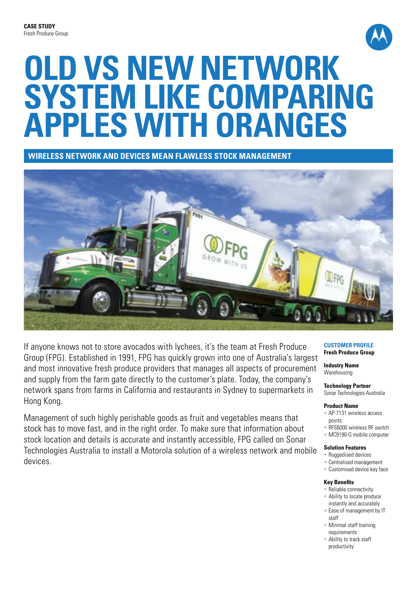

# **Old vs new network system like comparing apples with oranges**

**Wireless network and devices mean flawless stock management**



If anyone knows not to store avocados with lychees, it's the team at Fresh Produce Group (FPG). Established in 1991, FPG has quickly grown into one of Australia's largest and most innovative fresh produce providers that manages all aspects of procurement and supply from the farm gate directly to the customer's plate. Today, the company's network spans from farms in California and restaurants in Sydney to supermarkets in Hong Kong.

Management of such highly perishable goods as fruit and vegetables means that stock has to move fast, and in the right order. To make sure that information about stock location and details is accurate and instantly accessible, FPG called on Sonar Technologies Australia to install a Motorola solution of a wireless network and mobile devices.

#### **Customer Profile Fresh Produce Group**

**Industry Name Warehousing** 

## **Technology Partner**

Sonar Technologies Australia

### **Product Name**

- AP-7131 wireless access points
- RFS6000 wireless RF switch
- MC9190-G mobile computer

#### **Solution Features**

- Ruggedised devices
- Centralised management
- Customised device key face

#### **Key Benefits**

- Reliable connectivity
- Ability to locate produce instantly and accurately
- Ease of management by IT staff
- Minimal staff training requirements
- Ability to track staff productivity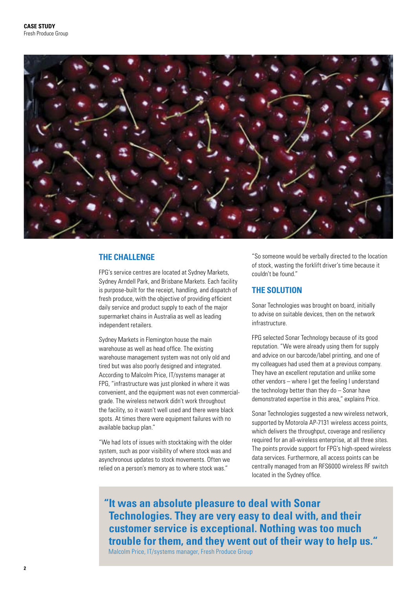

## **THE CHALLENGE**

FPG's service centres are located at Sydney Markets, Sydney Arndell Park, and Brisbane Markets. Each facility is purpose-built for the receipt, handling, and dispatch of fresh produce, with the objective of providing efficient daily service and product supply to each of the major supermarket chains in Australia as well as leading independent retailers.

Sydney Markets in Flemington house the main warehouse as well as head office. The existing warehouse management system was not only old and tired but was also poorly designed and integrated. According to Malcolm Price, IT/systems manager at FPG, "infrastructure was just plonked in where it was convenient, and the equipment was not even commercialgrade. The wireless network didn't work throughout the facility, so it wasn't well used and there were black spots. At times there were equipment failures with no available backup plan."

"We had lots of issues with stocktaking with the older system, such as poor visibility of where stock was and asynchronous updates to stock movements. Often we relied on a person's memory as to where stock was."

"So someone would be verbally directed to the location of stock, wasting the forklift driver's time because it couldn't be found."

## **THE SOLUTION**

Sonar Technologies was brought on board, initially to advise on suitable devices, then on the network infrastructure.

FPG selected Sonar Technology because of its good reputation. "We were already using them for supply and advice on our barcode/label printing, and one of my colleagues had used them at a previous company. They have an excellent reputation and unlike some other vendors – where I get the feeling I understand the technology better than they do – Sonar have demonstrated expertise in this area," explains Price.

Sonar Technologies suggested a new wireless network, supported by Motorola AP-7131 wireless access points, which delivers the throughput, coverage and resiliency required for an all-wireless enterprise, at all three sites. The points provide support for FPG's high-speed wireless data services. Furthermore, all access points can be centrally managed from an RFS6000 wireless RF switch located in the Sydney office.

**" It was an absolute pleasure to deal with Sonar Technologies. They are very easy to deal with, and their customer service is exceptional. Nothing was too much trouble for them, and they went out of their way to help us."** Malcolm Price, IT/systems manager, Fresh Produce Group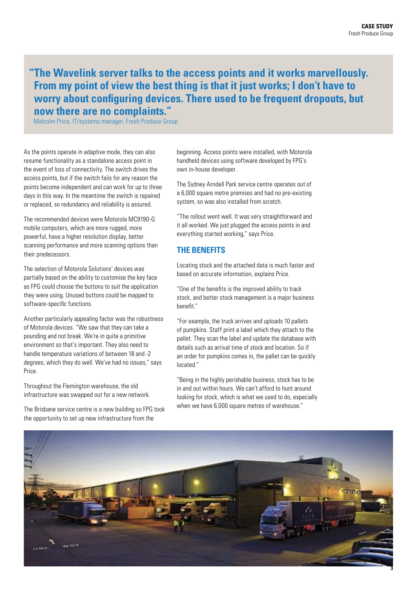## **"The Wavelink server talks to the access points and it works marvellously. From my point of view the best thing is that it just works; I don't have to worry about configuring devices. There used to be frequent dropouts, but now there are no complaints."**

Malcolm Price, IT/systems manager, Fresh Produce Group

As the points operate in adaptive mode, they can also resume functionality as a standalone access point in the event of loss of connectivity. The switch drives the access points, but if the switch fails for any reason the points become independent and can work for up to three days in this way. In the meantime the switch is repaired or replaced, so redundancy and reliability is assured.

The recommended devices were Motorola MC9190-G mobile computers, which are more rugged, more powerful, have a higher resolution display, better scanning performance and more scanning options than their predecessors.

The selection of Motorola Solutions' devices was partially based on the ability to customise the key face as FPG could choose the buttons to suit the application they were using. Unused buttons could be mapped to software-specific functions.

Another particularly appealing factor was the robustness of Motorola devices. "We saw that they can take a pounding and not break. We're in quite a primitive environment so that's important. They also need to handle temperature variations of between 18 and -2 degrees, which they do well. We've had no issues," says Price.

Throughout the Flemington warehouse, the old infrastructure was swapped out for a new network.

The Brisbane service centre is a new building so FPG took the opportunity to set up new infrastructure from the

beginning. Access points were installed, with Motorola handheld devices using software developed by FPG's own in-house developer.

The Sydney Arndell Park service centre operates out of a 6,000 square metre premises and had no pre-existing system, so was also installed from scratch.

"The rollout went well. It was very straightforward and it all worked. We just plugged the access points in and everything started working," says Price.

## **THE BENEFITS**

Locating stock and the attached data is much faster and based on accurate information, explains Price.

"One of the benefits is the improved ability to track stock, and better stock management is a major business benefit."

"For example, the truck arrives and uploads 10 pallets of pumpkins. Staff print a label which they attach to the pallet. They scan the label and update the database with details such as arrival time of stock and location. So if an order for pumpkins comes in, the pallet can be quickly located."

"Being in the highly perishable business, stock has to be in and out within hours. We can't afford to hunt around looking for stock, which is what we used to do, especially when we have 6,000 square metres of warehouse."